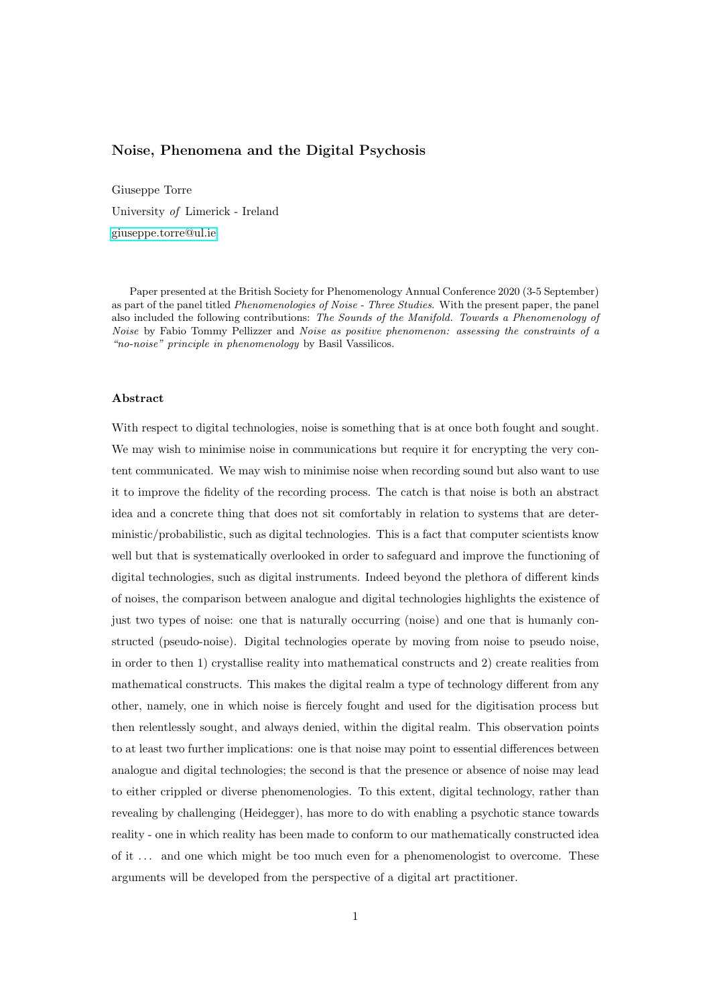# <span id="page-0-0"></span>Noise, Phenomena and the Digital Psychosis

Giuseppe Torre University of Limerick - Ireland [giuseppe.torre@ul.ie](mailto:giuseppe.torre@ul.ie)

Paper presented at the British Society for Phenomenology Annual Conference 2020 (3-5 September) as part of the panel titled *Phenomenologies of Noise - Three Studies*. With the present paper, the panel also included the following contributions: The Sounds of the Manifold. Towards a Phenomenology of Noise by Fabio Tommy Pellizzer and Noise as positive phenomenon: assessing the constraints of a "no-noise" principle in phenomenology by Basil Vassilicos.

# Abstract

With respect to digital technologies, noise is something that is at once both fought and sought. We may wish to minimise noise in communications but require it for encrypting the very content communicated. We may wish to minimise noise when recording sound but also want to use it to improve the fidelity of the recording process. The catch is that noise is both an abstract idea and a concrete thing that does not sit comfortably in relation to systems that are deterministic/probabilistic, such as digital technologies. This is a fact that computer scientists know well but that is systematically overlooked in order to safeguard and improve the functioning of digital technologies, such as digital instruments. Indeed beyond the plethora of different kinds of noises, the comparison between analogue and digital technologies highlights the existence of just two types of noise: one that is naturally occurring (noise) and one that is humanly constructed (pseudo-noise). Digital technologies operate by moving from noise to pseudo noise, in order to then 1) crystallise reality into mathematical constructs and 2) create realities from mathematical constructs. This makes the digital realm a type of technology different from any other, namely, one in which noise is fiercely fought and used for the digitisation process but then relentlessly sought, and always denied, within the digital realm. This observation points to at least two further implications: one is that noise may point to essential differences between analogue and digital technologies; the second is that the presence or absence of noise may lead to either crippled or diverse phenomenologies. To this extent, digital technology, rather than revealing by challenging (Heidegger), has more to do with enabling a psychotic stance towards reality - one in which reality has been made to conform to our mathematically constructed idea of it . . . and one which might be too much even for a phenomenologist to overcome. These arguments will be developed from the perspective of a digital art practitioner.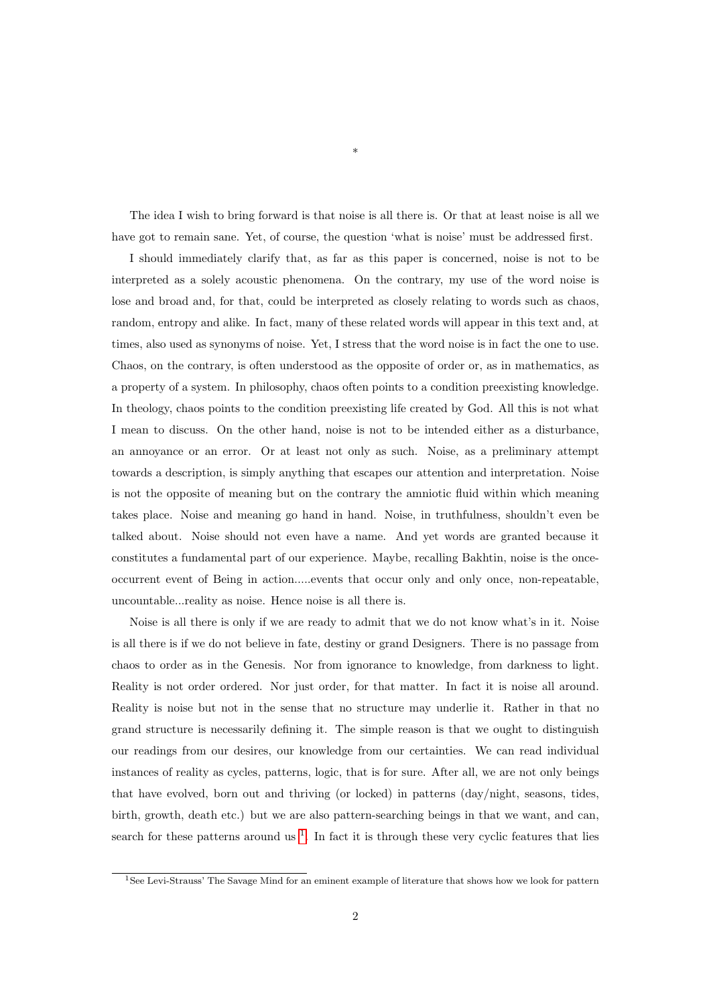The idea I wish to bring forward is that noise is all there is. Or that at least noise is all we have got to remain sane. Yet, of course, the question 'what is noise' must be addressed first.

\*

I should immediately clarify that, as far as this paper is concerned, noise is not to be interpreted as a solely acoustic phenomena. On the contrary, my use of the word noise is lose and broad and, for that, could be interpreted as closely relating to words such as chaos, random, entropy and alike. In fact, many of these related words will appear in this text and, at times, also used as synonyms of noise. Yet, I stress that the word noise is in fact the one to use. Chaos, on the contrary, is often understood as the opposite of order or, as in mathematics, as a property of a system. In philosophy, chaos often points to a condition preexisting knowledge. In theology, chaos points to the condition preexisting life created by God. All this is not what I mean to discuss. On the other hand, noise is not to be intended either as a disturbance, an annoyance or an error. Or at least not only as such. Noise, as a preliminary attempt towards a description, is simply anything that escapes our attention and interpretation. Noise is not the opposite of meaning but on the contrary the amniotic fluid within which meaning takes place. Noise and meaning go hand in hand. Noise, in truthfulness, shouldn't even be talked about. Noise should not even have a name. And yet words are granted because it constitutes a fundamental part of our experience. Maybe, recalling Bakhtin, noise is the onceoccurrent event of Being in action.....events that occur only and only once, non-repeatable, uncountable...reality as noise. Hence noise is all there is.

Noise is all there is only if we are ready to admit that we do not know what's in it. Noise is all there is if we do not believe in fate, destiny or grand Designers. There is no passage from chaos to order as in the Genesis. Nor from ignorance to knowledge, from darkness to light. Reality is not order ordered. Nor just order, for that matter. In fact it is noise all around. Reality is noise but not in the sense that no structure may underlie it. Rather in that no grand structure is necessarily defining it. The simple reason is that we ought to distinguish our readings from our desires, our knowledge from our certainties. We can read individual instances of reality as cycles, patterns, logic, that is for sure. After all, we are not only beings that have evolved, born out and thriving (or locked) in patterns (day/night, seasons, tides, birth, growth, death etc.) but we are also pattern-searching beings in that we want, and can, search for these patterns around us  $<sup>1</sup>$  $<sup>1</sup>$  $<sup>1</sup>$ . In fact it is through these very cyclic features that lies</sup>

<sup>1</sup>See Levi-Strauss' The Savage Mind for an eminent example of literature that shows how we look for pattern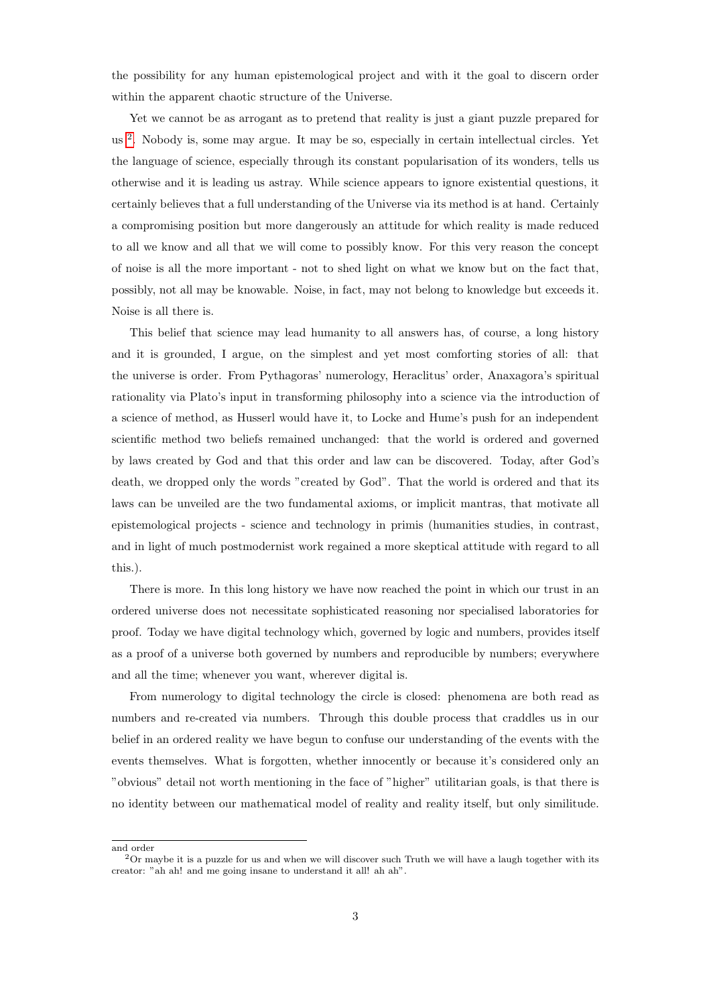the possibility for any human epistemological project and with it the goal to discern order within the apparent chaotic structure of the Universe.

Yet we cannot be as arrogant as to pretend that reality is just a giant puzzle prepared for us<sup>[2](#page-0-0)</sup>. Nobody is, some may argue. It may be so, especially in certain intellectual circles. Yet the language of science, especially through its constant popularisation of its wonders, tells us otherwise and it is leading us astray. While science appears to ignore existential questions, it certainly believes that a full understanding of the Universe via its method is at hand. Certainly a compromising position but more dangerously an attitude for which reality is made reduced to all we know and all that we will come to possibly know. For this very reason the concept of noise is all the more important - not to shed light on what we know but on the fact that, possibly, not all may be knowable. Noise, in fact, may not belong to knowledge but exceeds it. Noise is all there is.

This belief that science may lead humanity to all answers has, of course, a long history and it is grounded, I argue, on the simplest and yet most comforting stories of all: that the universe is order. From Pythagoras' numerology, Heraclitus' order, Anaxagora's spiritual rationality via Plato's input in transforming philosophy into a science via the introduction of a science of method, as Husserl would have it, to Locke and Hume's push for an independent scientific method two beliefs remained unchanged: that the world is ordered and governed by laws created by God and that this order and law can be discovered. Today, after God's death, we dropped only the words "created by God". That the world is ordered and that its laws can be unveiled are the two fundamental axioms, or implicit mantras, that motivate all epistemological projects - science and technology in primis (humanities studies, in contrast, and in light of much postmodernist work regained a more skeptical attitude with regard to all this.).

There is more. In this long history we have now reached the point in which our trust in an ordered universe does not necessitate sophisticated reasoning nor specialised laboratories for proof. Today we have digital technology which, governed by logic and numbers, provides itself as a proof of a universe both governed by numbers and reproducible by numbers; everywhere and all the time; whenever you want, wherever digital is.

From numerology to digital technology the circle is closed: phenomena are both read as numbers and re-created via numbers. Through this double process that craddles us in our belief in an ordered reality we have begun to confuse our understanding of the events with the events themselves. What is forgotten, whether innocently or because it's considered only an "obvious" detail not worth mentioning in the face of "higher" utilitarian goals, is that there is no identity between our mathematical model of reality and reality itself, but only similitude.

and order

<sup>2</sup>Or maybe it is a puzzle for us and when we will discover such Truth we will have a laugh together with its creator: "ah ah! and me going insane to understand it all! ah ah".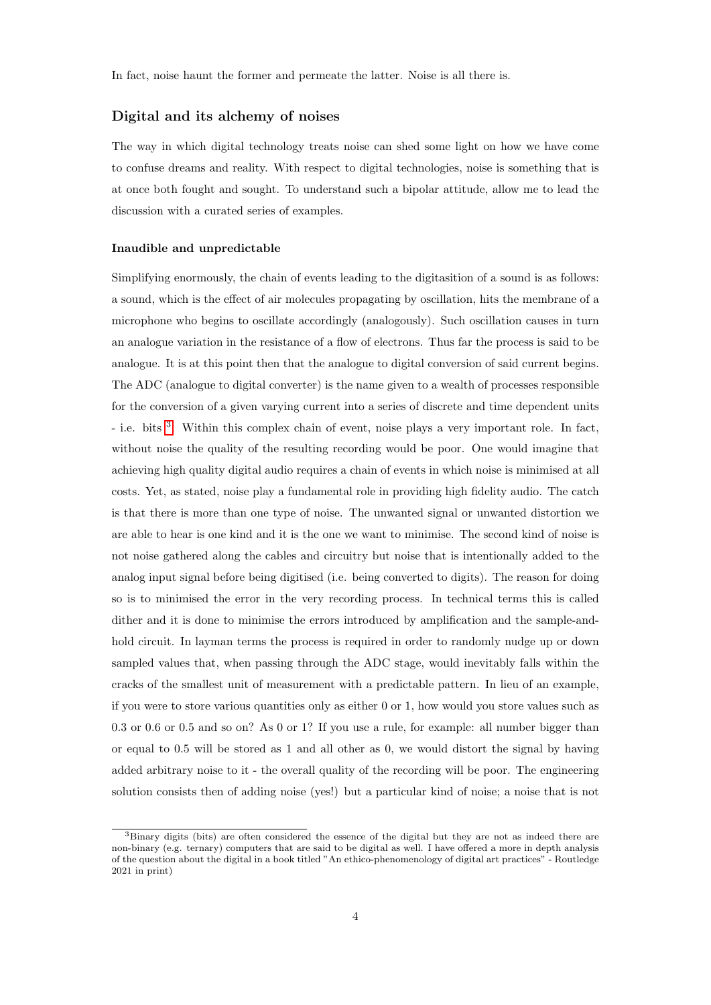In fact, noise haunt the former and permeate the latter. Noise is all there is.

## Digital and its alchemy of noises

The way in which digital technology treats noise can shed some light on how we have come to confuse dreams and reality. With respect to digital technologies, noise is something that is at once both fought and sought. To understand such a bipolar attitude, allow me to lead the discussion with a curated series of examples.

### Inaudible and unpredictable

Simplifying enormously, the chain of events leading to the digitasition of a sound is as follows: a sound, which is the effect of air molecules propagating by oscillation, hits the membrane of a microphone who begins to oscillate accordingly (analogously). Such oscillation causes in turn an analogue variation in the resistance of a flow of electrons. Thus far the process is said to be analogue. It is at this point then that the analogue to digital conversion of said current begins. The ADC (analogue to digital converter) is the name given to a wealth of processes responsible for the conversion of a given varying current into a series of discrete and time dependent units - i.e. bits <sup>[3](#page-0-0)</sup>. Within this complex chain of event, noise plays a very important role. In fact, without noise the quality of the resulting recording would be poor. One would imagine that achieving high quality digital audio requires a chain of events in which noise is minimised at all costs. Yet, as stated, noise play a fundamental role in providing high fidelity audio. The catch is that there is more than one type of noise. The unwanted signal or unwanted distortion we are able to hear is one kind and it is the one we want to minimise. The second kind of noise is not noise gathered along the cables and circuitry but noise that is intentionally added to the analog input signal before being digitised (i.e. being converted to digits). The reason for doing so is to minimised the error in the very recording process. In technical terms this is called dither and it is done to minimise the errors introduced by amplification and the sample-andhold circuit. In layman terms the process is required in order to randomly nudge up or down sampled values that, when passing through the ADC stage, would inevitably falls within the cracks of the smallest unit of measurement with a predictable pattern. In lieu of an example, if you were to store various quantities only as either 0 or 1, how would you store values such as 0.3 or 0.6 or 0.5 and so on? As 0 or 1? If you use a rule, for example: all number bigger than or equal to 0.5 will be stored as 1 and all other as 0, we would distort the signal by having added arbitrary noise to it - the overall quality of the recording will be poor. The engineering solution consists then of adding noise (yes!) but a particular kind of noise; a noise that is not

<sup>3</sup>Binary digits (bits) are often considered the essence of the digital but they are not as indeed there are non-binary (e.g. ternary) computers that are said to be digital as well. I have offered a more in depth analysis of the question about the digital in a book titled "An ethico-phenomenology of digital art practices" - Routledge 2021 in print)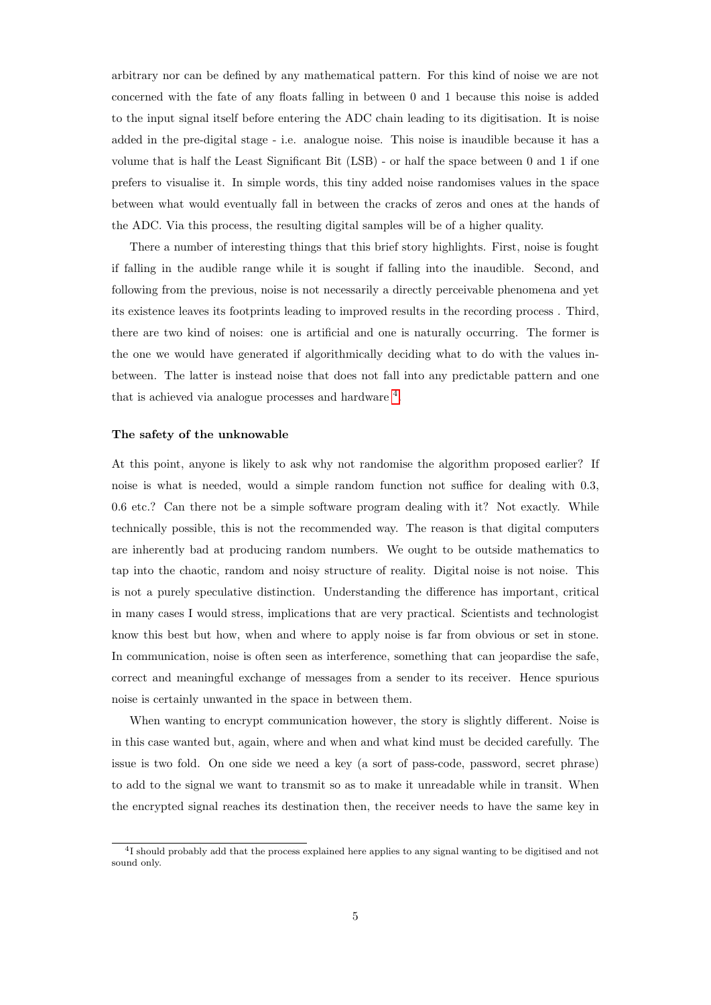arbitrary nor can be defined by any mathematical pattern. For this kind of noise we are not concerned with the fate of any floats falling in between 0 and 1 because this noise is added to the input signal itself before entering the ADC chain leading to its digitisation. It is noise added in the pre-digital stage - i.e. analogue noise. This noise is inaudible because it has a volume that is half the Least Significant Bit (LSB) - or half the space between 0 and 1 if one prefers to visualise it. In simple words, this tiny added noise randomises values in the space between what would eventually fall in between the cracks of zeros and ones at the hands of the ADC. Via this process, the resulting digital samples will be of a higher quality.

There a number of interesting things that this brief story highlights. First, noise is fought if falling in the audible range while it is sought if falling into the inaudible. Second, and following from the previous, noise is not necessarily a directly perceivable phenomena and yet its existence leaves its footprints leading to improved results in the recording process . Third, there are two kind of noises: one is artificial and one is naturally occurring. The former is the one we would have generated if algorithmically deciding what to do with the values inbetween. The latter is instead noise that does not fall into any predictable pattern and one that is achieved via analogue processes and hardware  $4$ .

#### The safety of the unknowable

At this point, anyone is likely to ask why not randomise the algorithm proposed earlier? If noise is what is needed, would a simple random function not suffice for dealing with 0.3, 0.6 etc.? Can there not be a simple software program dealing with it? Not exactly. While technically possible, this is not the recommended way. The reason is that digital computers are inherently bad at producing random numbers. We ought to be outside mathematics to tap into the chaotic, random and noisy structure of reality. Digital noise is not noise. This is not a purely speculative distinction. Understanding the difference has important, critical in many cases I would stress, implications that are very practical. Scientists and technologist know this best but how, when and where to apply noise is far from obvious or set in stone. In communication, noise is often seen as interference, something that can jeopardise the safe, correct and meaningful exchange of messages from a sender to its receiver. Hence spurious noise is certainly unwanted in the space in between them.

When wanting to encrypt communication however, the story is slightly different. Noise is in this case wanted but, again, where and when and what kind must be decided carefully. The issue is two fold. On one side we need a key (a sort of pass-code, password, secret phrase) to add to the signal we want to transmit so as to make it unreadable while in transit. When the encrypted signal reaches its destination then, the receiver needs to have the same key in

<sup>&</sup>lt;sup>4</sup>I should probably add that the process explained here applies to any signal wanting to be digitised and not sound only.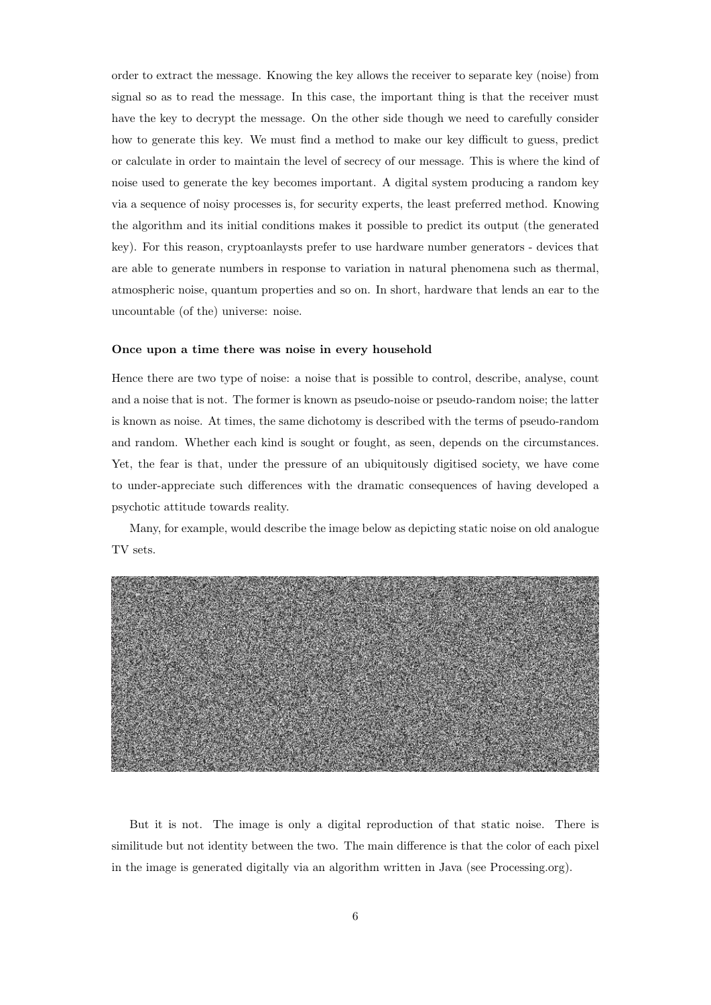order to extract the message. Knowing the key allows the receiver to separate key (noise) from signal so as to read the message. In this case, the important thing is that the receiver must have the key to decrypt the message. On the other side though we need to carefully consider how to generate this key. We must find a method to make our key difficult to guess, predict or calculate in order to maintain the level of secrecy of our message. This is where the kind of noise used to generate the key becomes important. A digital system producing a random key via a sequence of noisy processes is, for security experts, the least preferred method. Knowing the algorithm and its initial conditions makes it possible to predict its output (the generated key). For this reason, cryptoanlaysts prefer to use hardware number generators - devices that are able to generate numbers in response to variation in natural phenomena such as thermal, atmospheric noise, quantum properties and so on. In short, hardware that lends an ear to the uncountable (of the) universe: noise.

#### Once upon a time there was noise in every household

Hence there are two type of noise: a noise that is possible to control, describe, analyse, count and a noise that is not. The former is known as pseudo-noise or pseudo-random noise; the latter is known as noise. At times, the same dichotomy is described with the terms of pseudo-random and random. Whether each kind is sought or fought, as seen, depends on the circumstances. Yet, the fear is that, under the pressure of an ubiquitously digitised society, we have come to under-appreciate such differences with the dramatic consequences of having developed a psychotic attitude towards reality.

Many, for example, would describe the image below as depicting static noise on old analogue TV sets.



But it is not. The image is only a digital reproduction of that static noise. There is similitude but not identity between the two. The main difference is that the color of each pixel in the image is generated digitally via an algorithm written in Java (see Processing.org).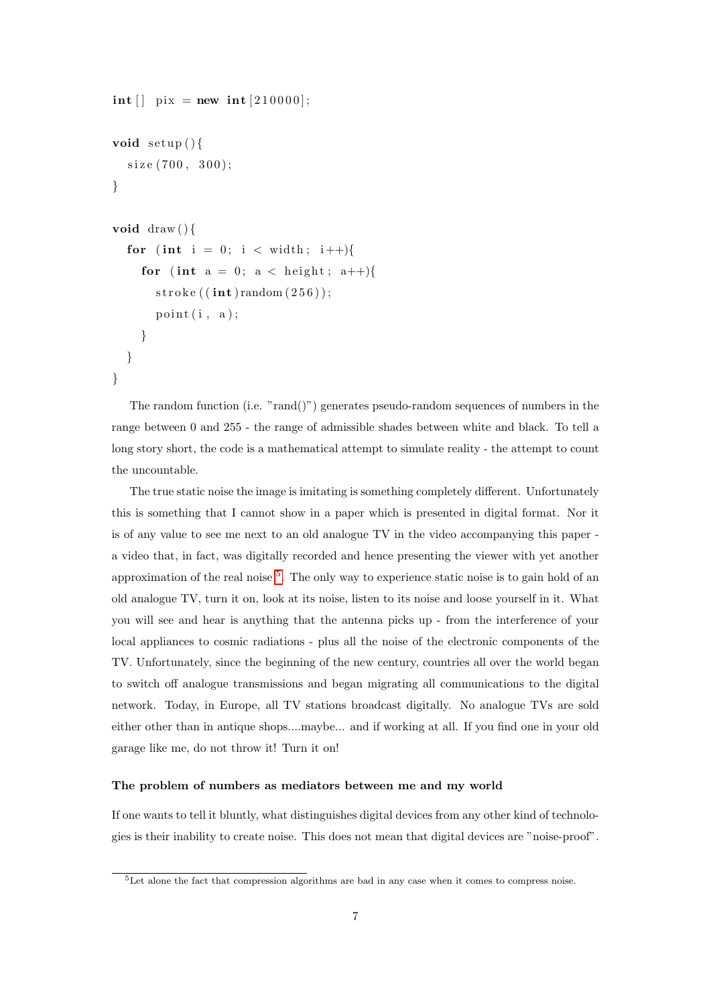```
int [ pix = new int [210000];
void set up()size(700, 300);}
void \text{draw}()for (int i = 0; i < width; i++){
    for (int a = 0; a < height; a++){
       \text{stroke}((\textbf{int})\text{random}(256));point(i, a);}
  }
}
```
The random function (i.e. "rand()") generates pseudo-random sequences of numbers in the range between 0 and 255 - the range of admissible shades between white and black. To tell a long story short, the code is a mathematical attempt to simulate reality - the attempt to count the uncountable.

The true static noise the image is imitating is something completely different. Unfortunately this is something that I cannot show in a paper which is presented in digital format. Nor it is of any value to see me next to an old analogue TV in the video accompanying this paper a video that, in fact, was digitally recorded and hence presenting the viewer with yet another approximation of the real noise <sup>[5](#page-0-0)</sup>. The only way to experience static noise is to gain hold of an old analogue TV, turn it on, look at its noise, listen to its noise and loose yourself in it. What you will see and hear is anything that the antenna picks up - from the interference of your local appliances to cosmic radiations - plus all the noise of the electronic components of the TV. Unfortunately, since the beginning of the new century, countries all over the world began to switch off analogue transmissions and began migrating all communications to the digital network. Today, in Europe, all TV stations broadcast digitally. No analogue TVs are sold either other than in antique shops....maybe... and if working at all. If you find one in your old garage like me, do not throw it! Turn it on!

#### The problem of numbers as mediators between me and my world

If one wants to tell it bluntly, what distinguishes digital devices from any other kind of technologies is their inability to create noise. This does not mean that digital devices are "noise-proof".

<sup>5</sup>Let alone the fact that compression algorithms are bad in any case when it comes to compress noise.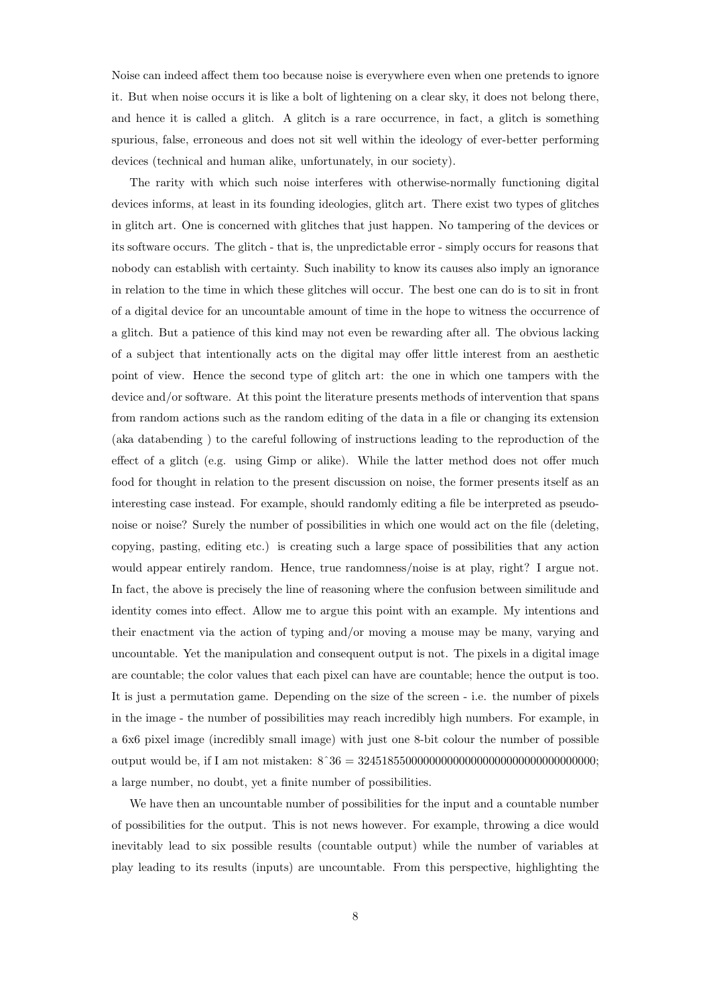Noise can indeed affect them too because noise is everywhere even when one pretends to ignore it. But when noise occurs it is like a bolt of lightening on a clear sky, it does not belong there, and hence it is called a glitch. A glitch is a rare occurrence, in fact, a glitch is something spurious, false, erroneous and does not sit well within the ideology of ever-better performing devices (technical and human alike, unfortunately, in our society).

The rarity with which such noise interferes with otherwise-normally functioning digital devices informs, at least in its founding ideologies, glitch art. There exist two types of glitches in glitch art. One is concerned with glitches that just happen. No tampering of the devices or its software occurs. The glitch - that is, the unpredictable error - simply occurs for reasons that nobody can establish with certainty. Such inability to know its causes also imply an ignorance in relation to the time in which these glitches will occur. The best one can do is to sit in front of a digital device for an uncountable amount of time in the hope to witness the occurrence of a glitch. But a patience of this kind may not even be rewarding after all. The obvious lacking of a subject that intentionally acts on the digital may offer little interest from an aesthetic point of view. Hence the second type of glitch art: the one in which one tampers with the device and/or software. At this point the literature presents methods of intervention that spans from random actions such as the random editing of the data in a file or changing its extension (aka databending ) to the careful following of instructions leading to the reproduction of the effect of a glitch (e.g. using Gimp or alike). While the latter method does not offer much food for thought in relation to the present discussion on noise, the former presents itself as an interesting case instead. For example, should randomly editing a file be interpreted as pseudonoise or noise? Surely the number of possibilities in which one would act on the file (deleting, copying, pasting, editing etc.) is creating such a large space of possibilities that any action would appear entirely random. Hence, true randomness/noise is at play, right? I argue not. In fact, the above is precisely the line of reasoning where the confusion between similitude and identity comes into effect. Allow me to argue this point with an example. My intentions and their enactment via the action of typing and/or moving a mouse may be many, varying and uncountable. Yet the manipulation and consequent output is not. The pixels in a digital image are countable; the color values that each pixel can have are countable; hence the output is too. It is just a permutation game. Depending on the size of the screen - i.e. the number of pixels in the image - the number of possibilities may reach incredibly high numbers. For example, in a 6x6 pixel image (incredibly small image) with just one 8-bit colour the number of possible output would be, if I am not mistaken: 8ˆ36 = 3245185500000000000000000000000000000000; a large number, no doubt, yet a finite number of possibilities.

We have then an uncountable number of possibilities for the input and a countable number of possibilities for the output. This is not news however. For example, throwing a dice would inevitably lead to six possible results (countable output) while the number of variables at play leading to its results (inputs) are uncountable. From this perspective, highlighting the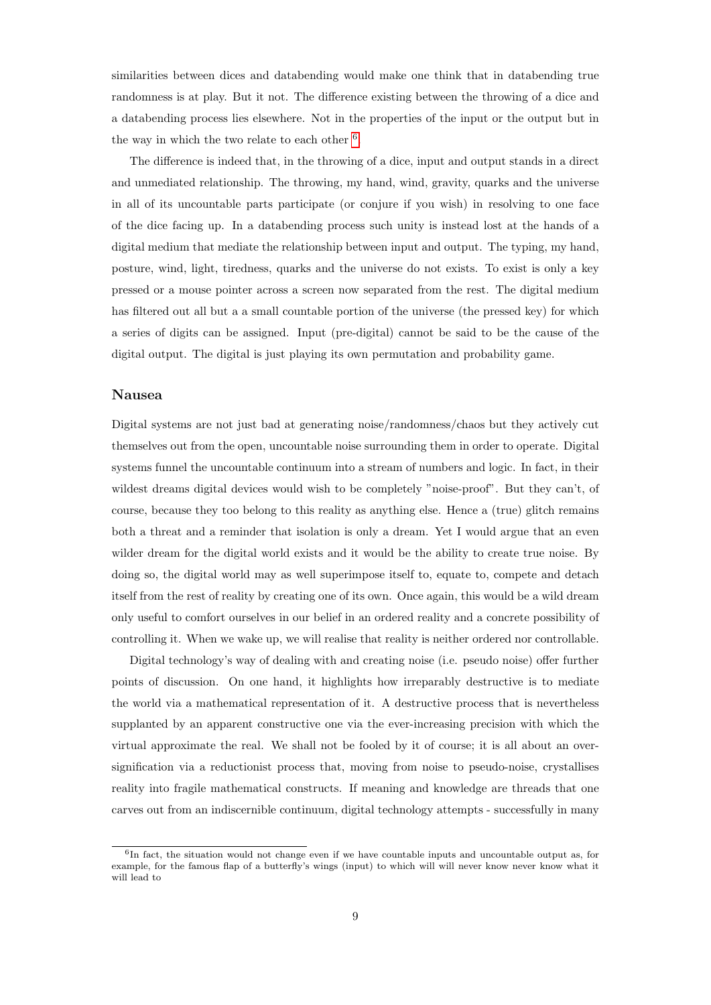similarities between dices and databending would make one think that in databending true randomness is at play. But it not. The difference existing between the throwing of a dice and a databending process lies elsewhere. Not in the properties of the input or the output but in the way in which the two relate to each other  $6$ .

The difference is indeed that, in the throwing of a dice, input and output stands in a direct and unmediated relationship. The throwing, my hand, wind, gravity, quarks and the universe in all of its uncountable parts participate (or conjure if you wish) in resolving to one face of the dice facing up. In a databending process such unity is instead lost at the hands of a digital medium that mediate the relationship between input and output. The typing, my hand, posture, wind, light, tiredness, quarks and the universe do not exists. To exist is only a key pressed or a mouse pointer across a screen now separated from the rest. The digital medium has filtered out all but a a small countable portion of the universe (the pressed key) for which a series of digits can be assigned. Input (pre-digital) cannot be said to be the cause of the digital output. The digital is just playing its own permutation and probability game.

### Nausea

Digital systems are not just bad at generating noise/randomness/chaos but they actively cut themselves out from the open, uncountable noise surrounding them in order to operate. Digital systems funnel the uncountable continuum into a stream of numbers and logic. In fact, in their wildest dreams digital devices would wish to be completely "noise-proof". But they can't, of course, because they too belong to this reality as anything else. Hence a (true) glitch remains both a threat and a reminder that isolation is only a dream. Yet I would argue that an even wilder dream for the digital world exists and it would be the ability to create true noise. By doing so, the digital world may as well superimpose itself to, equate to, compete and detach itself from the rest of reality by creating one of its own. Once again, this would be a wild dream only useful to comfort ourselves in our belief in an ordered reality and a concrete possibility of controlling it. When we wake up, we will realise that reality is neither ordered nor controllable.

Digital technology's way of dealing with and creating noise (i.e. pseudo noise) offer further points of discussion. On one hand, it highlights how irreparably destructive is to mediate the world via a mathematical representation of it. A destructive process that is nevertheless supplanted by an apparent constructive one via the ever-increasing precision with which the virtual approximate the real. We shall not be fooled by it of course; it is all about an oversignification via a reductionist process that, moving from noise to pseudo-noise, crystallises reality into fragile mathematical constructs. If meaning and knowledge are threads that one carves out from an indiscernible continuum, digital technology attempts - successfully in many

<sup>&</sup>lt;sup>6</sup>In fact, the situation would not change even if we have countable inputs and uncountable output as, for example, for the famous flap of a butterfly's wings (input) to which will will never know never know what it will lead to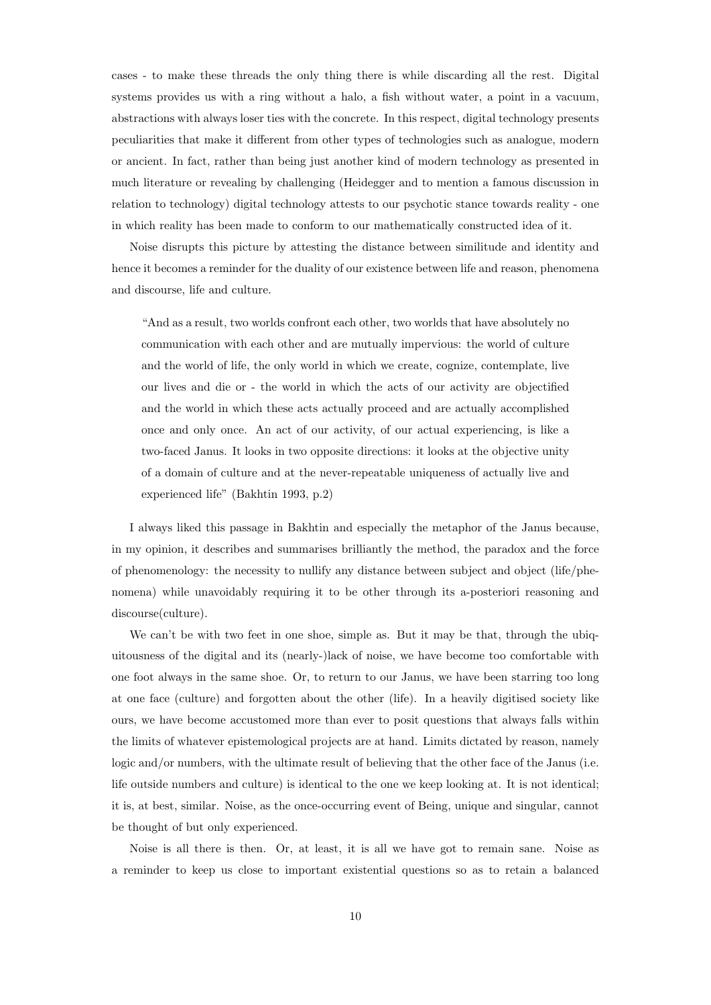cases - to make these threads the only thing there is while discarding all the rest. Digital systems provides us with a ring without a halo, a fish without water, a point in a vacuum, abstractions with always loser ties with the concrete. In this respect, digital technology presents peculiarities that make it different from other types of technologies such as analogue, modern or ancient. In fact, rather than being just another kind of modern technology as presented in much literature or revealing by challenging (Heidegger and to mention a famous discussion in relation to technology) digital technology attests to our psychotic stance towards reality - one in which reality has been made to conform to our mathematically constructed idea of it.

Noise disrupts this picture by attesting the distance between similitude and identity and hence it becomes a reminder for the duality of our existence between life and reason, phenomena and discourse, life and culture.

"And as a result, two worlds confront each other, two worlds that have absolutely no communication with each other and are mutually impervious: the world of culture and the world of life, the only world in which we create, cognize, contemplate, live our lives and die or - the world in which the acts of our activity are objectified and the world in which these acts actually proceed and are actually accomplished once and only once. An act of our activity, of our actual experiencing, is like a two-faced Janus. It looks in two opposite directions: it looks at the objective unity of a domain of culture and at the never-repeatable uniqueness of actually live and experienced life" (Bakhtin 1993, p.2)

I always liked this passage in Bakhtin and especially the metaphor of the Janus because, in my opinion, it describes and summarises brilliantly the method, the paradox and the force of phenomenology: the necessity to nullify any distance between subject and object (life/phenomena) while unavoidably requiring it to be other through its a-posteriori reasoning and discourse(culture).

We can't be with two feet in one shoe, simple as. But it may be that, through the ubiquitousness of the digital and its (nearly-)lack of noise, we have become too comfortable with one foot always in the same shoe. Or, to return to our Janus, we have been starring too long at one face (culture) and forgotten about the other (life). In a heavily digitised society like ours, we have become accustomed more than ever to posit questions that always falls within the limits of whatever epistemological projects are at hand. Limits dictated by reason, namely logic and/or numbers, with the ultimate result of believing that the other face of the Janus (i.e. life outside numbers and culture) is identical to the one we keep looking at. It is not identical; it is, at best, similar. Noise, as the once-occurring event of Being, unique and singular, cannot be thought of but only experienced.

Noise is all there is then. Or, at least, it is all we have got to remain sane. Noise as a reminder to keep us close to important existential questions so as to retain a balanced